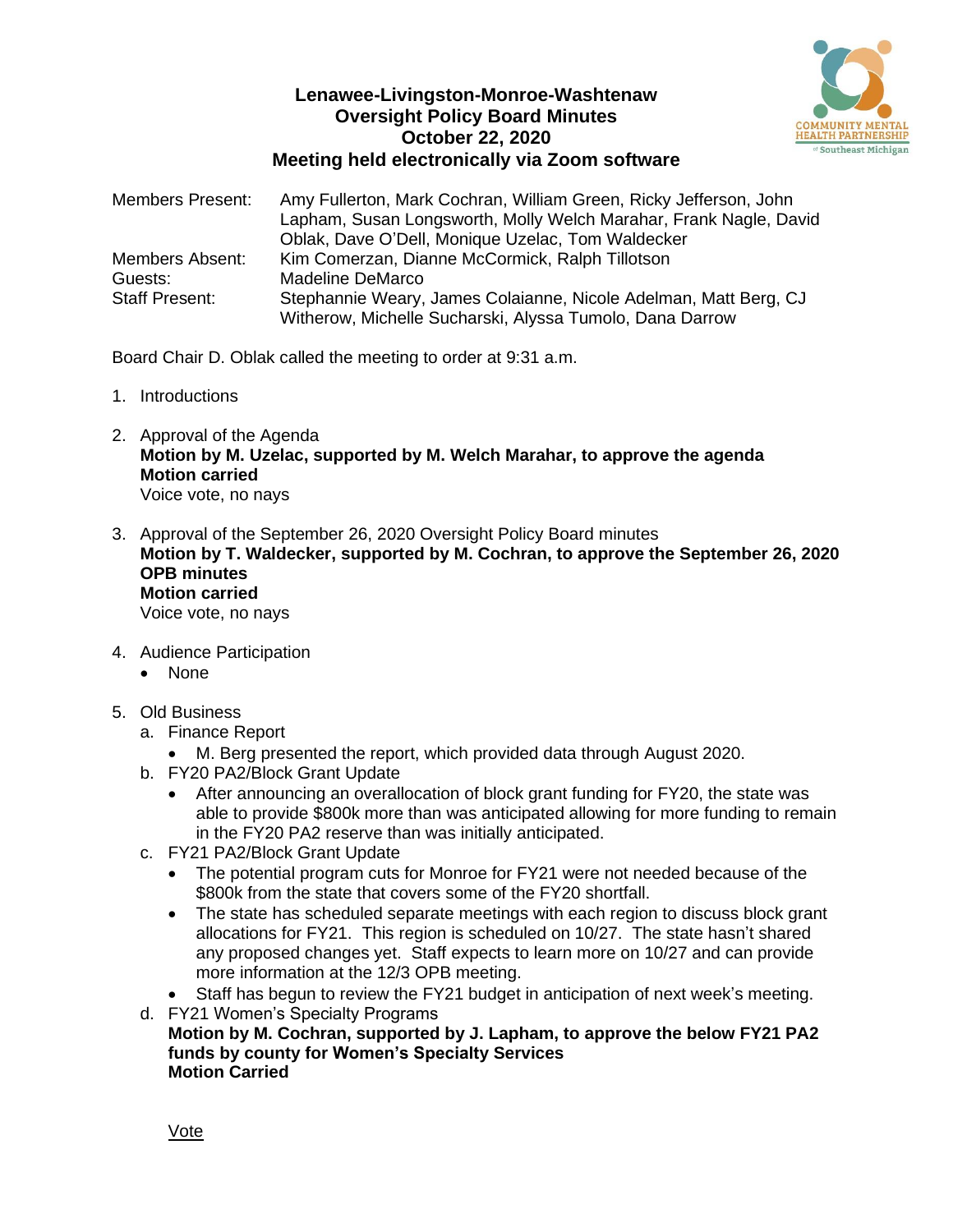

# **Lenawee-Livingston-Monroe-Washtenaw Oversight Policy Board Minutes October 22, 2020 Meeting held electronically via Zoom software**

| <b>Members Present:</b> | Amy Fullerton, Mark Cochran, William Green, Ricky Jefferson, John<br>Lapham, Susan Longsworth, Molly Welch Marahar, Frank Nagle, David<br>Oblak, Dave O'Dell, Monique Uzelac, Tom Waldecker |
|-------------------------|---------------------------------------------------------------------------------------------------------------------------------------------------------------------------------------------|
| Members Absent:         | Kim Comerzan, Dianne McCormick, Ralph Tillotson                                                                                                                                             |
| Guests:                 | <b>Madeline DeMarco</b>                                                                                                                                                                     |
| <b>Staff Present:</b>   | Stephannie Weary, James Colaianne, Nicole Adelman, Matt Berg, CJ<br>Witherow, Michelle Sucharski, Alyssa Tumolo, Dana Darrow                                                                |

Board Chair D. Oblak called the meeting to order at 9:31 a.m.

- 1. Introductions
- 2. Approval of the Agenda **Motion by M. Uzelac, supported by M. Welch Marahar, to approve the agenda Motion carried** Voice vote, no nays
- 3. Approval of the September 26, 2020 Oversight Policy Board minutes **Motion by T. Waldecker, supported by M. Cochran, to approve the September 26, 2020 OPB minutes Motion carried** Voice vote, no nays
- 4. Audience Participation
	- None
- 5. Old Business
	- a. Finance Report
		- M. Berg presented the report, which provided data through August 2020.
	- b. FY20 PA2/Block Grant Update
		- After announcing an overallocation of block grant funding for FY20, the state was able to provide \$800k more than was anticipated allowing for more funding to remain in the FY20 PA2 reserve than was initially anticipated.
	- c. FY21 PA2/Block Grant Update
		- The potential program cuts for Monroe for FY21 were not needed because of the \$800k from the state that covers some of the FY20 shortfall.
		- The state has scheduled separate meetings with each region to discuss block grant allocations for FY21. This region is scheduled on 10/27. The state hasn't shared any proposed changes yet. Staff expects to learn more on 10/27 and can provide more information at the 12/3 OPB meeting.
		- Staff has begun to review the FY21 budget in anticipation of next week's meeting.
	- d. FY21 Women's Specialty Programs **Motion by M. Cochran, supported by J. Lapham, to approve the below FY21 PA2 funds by county for Women's Specialty Services Motion Carried**

Vote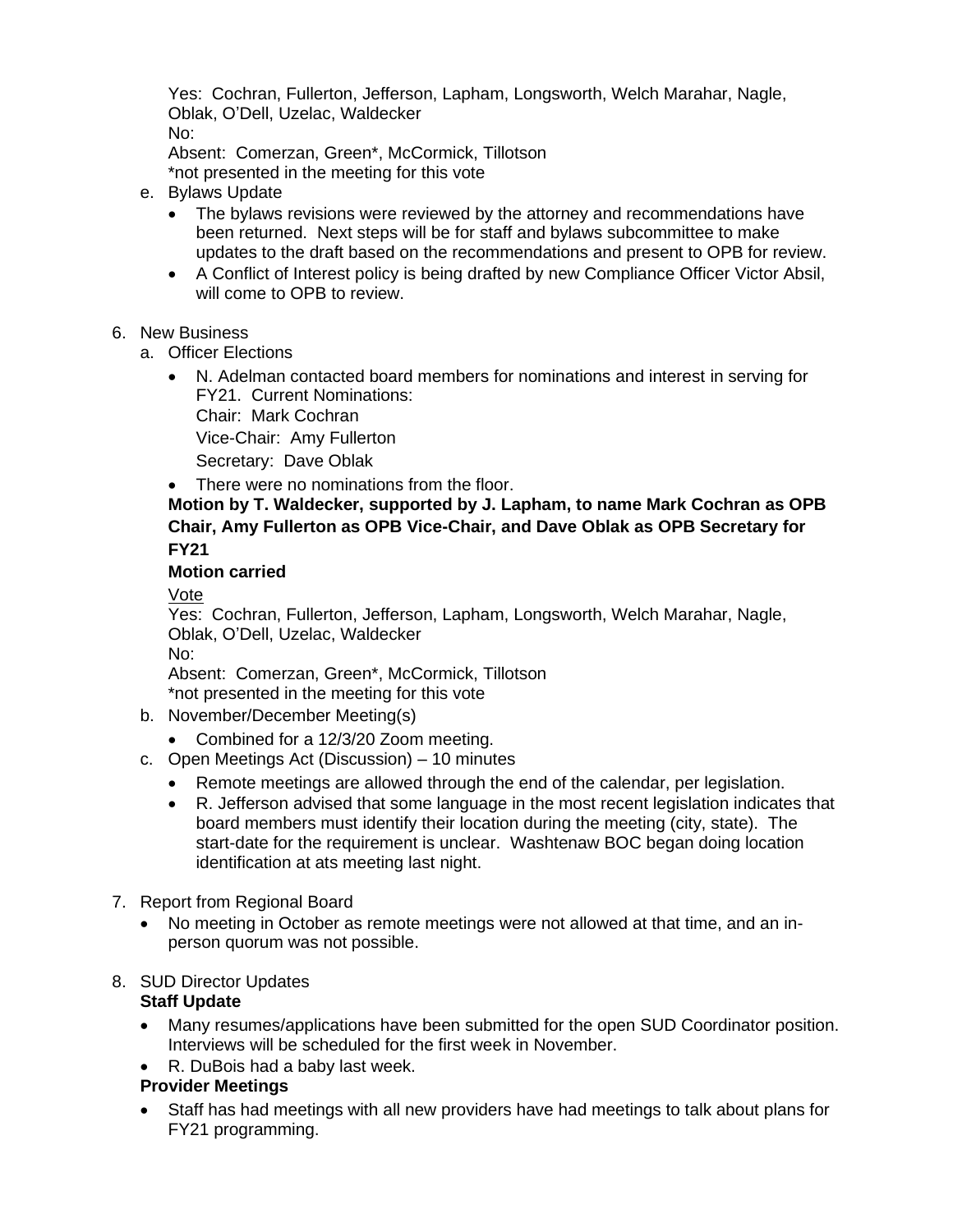Yes: Cochran, Fullerton, Jefferson, Lapham, Longsworth, Welch Marahar, Nagle, Oblak, O'Dell, Uzelac, Waldecker No:

Absent: Comerzan, Green\*, McCormick, Tillotson \*not presented in the meeting for this vote

- e. Bylaws Update
	- The bylaws revisions were reviewed by the attorney and recommendations have been returned. Next steps will be for staff and bylaws subcommittee to make updates to the draft based on the recommendations and present to OPB for review.
	- A Conflict of Interest policy is being drafted by new Compliance Officer Victor Absil, will come to OPB to review.

#### 6. New Business

- a. Officer Elections
	- N. Adelman contacted board members for nominations and interest in serving for FY21. Current Nominations: Chair: Mark Cochran Vice-Chair: Amy Fullerton
		- Secretary: Dave Oblak
	- There were no nominations from the floor.

# **Motion by T. Waldecker, supported by J. Lapham, to name Mark Cochran as OPB Chair, Amy Fullerton as OPB Vice-Chair, and Dave Oblak as OPB Secretary for FY21**

#### **Motion carried**

Vote

Yes: Cochran, Fullerton, Jefferson, Lapham, Longsworth, Welch Marahar, Nagle, Oblak, O'Dell, Uzelac, Waldecker No:

Absent: Comerzan, Green\*, McCormick, Tillotson \*not presented in the meeting for this vote

- b. November/December Meeting(s)
	- Combined for a 12/3/20 Zoom meeting.
- c. Open Meetings Act (Discussion) 10 minutes
	- Remote meetings are allowed through the end of the calendar, per legislation.
	- R. Jefferson advised that some language in the most recent legislation indicates that board members must identify their location during the meeting (city, state). The start-date for the requirement is unclear. Washtenaw BOC began doing location identification at ats meeting last night.
- 7. Report from Regional Board
	- No meeting in October as remote meetings were not allowed at that time, and an inperson quorum was not possible.

# 8. SUD Director Updates

# **Staff Update**

- Many resumes/applications have been submitted for the open SUD Coordinator position. Interviews will be scheduled for the first week in November.
- R. DuBois had a baby last week.

# **Provider Meetings**

• Staff has had meetings with all new providers have had meetings to talk about plans for FY21 programming.